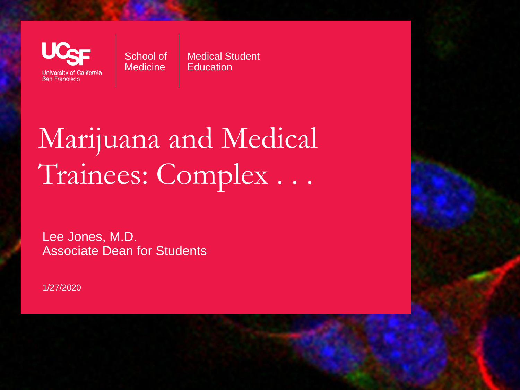**University of California** San Francisco

School of **Medicine** 

Medical Student **Education** 

## Marijuana and Medical Trainees: Complex . . .

Lee Jones, M.D. Associate Dean for Students

1/27/2020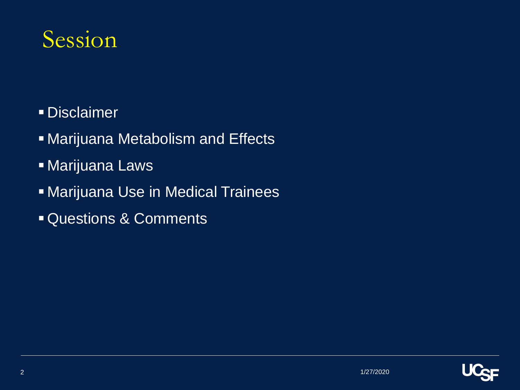#### Session

- **Disclaimer**
- **Marijuana Metabolism and Effects**
- **E** Marijuana Laws
- **In Marijuana Use in Medical Trainees**
- **Example 3 ACOMMENTS**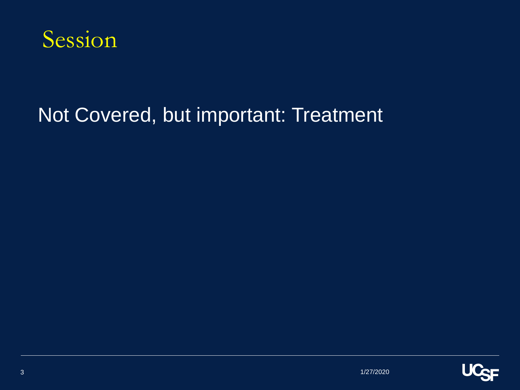

#### Not Covered, but important: Treatment

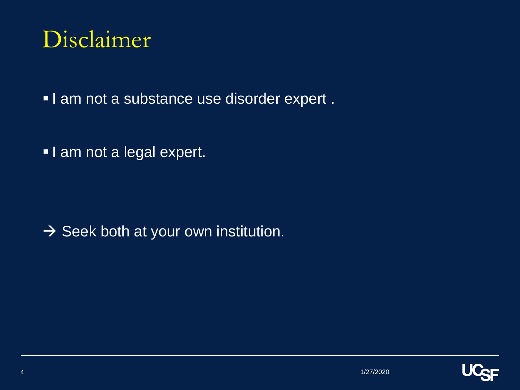#### Disclaimer

**I am not a substance use disorder expert.** 

**I** am not a legal expert.

 $\rightarrow$  Seek both at your own institution.

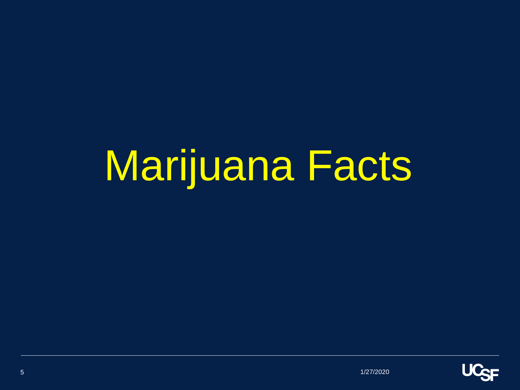# Marijuana Facts

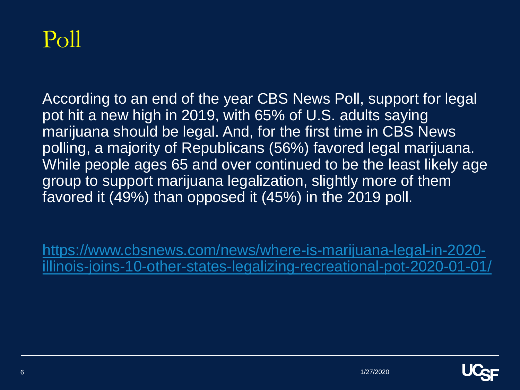

According to an end of the year CBS News Poll, support for legal pot hit a new high in 2019, with 65% of U.S. adults saying marijuana should be legal. And, for the first time in CBS News polling, a majority of Republicans (56%) favored legal marijuana. While people ages 65 and over continued to be the least likely age group to support marijuana legalization, slightly more of them favored it (49%) than opposed it (45%) in the 2019 poll.

https://www.cbsnews.com/news/where-is-marijuana-legal-in-2020 [illinois-joins-10-other-states-legalizing-recreational-pot-2020-01-01/](https://www.cbsnews.com/news/where-is-marijuana-legal-in-2020-illinois-joins-10-other-states-legalizing-recreational-pot-2020-01-01/)

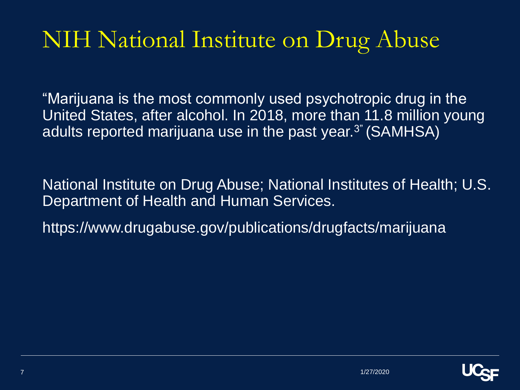"Marijuana is the most commonly used psychotropic drug in the United States, after alcohol. In 2018, more than 11.8 million young adults reported marijuana use in the past year.3" (SAMHSA)

National Institute on Drug Abuse; National Institutes of Health; U.S. Department of Health and Human Services.

https://www.drugabuse.gov/publications/drugfacts/marijuana

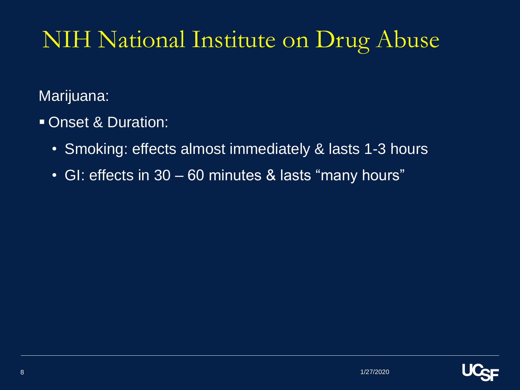Marijuana:

- Onset & Duration:
	- Smoking: effects almost immediately & lasts 1-3 hours
	- GI: effects in 30 60 minutes & lasts "many hours"

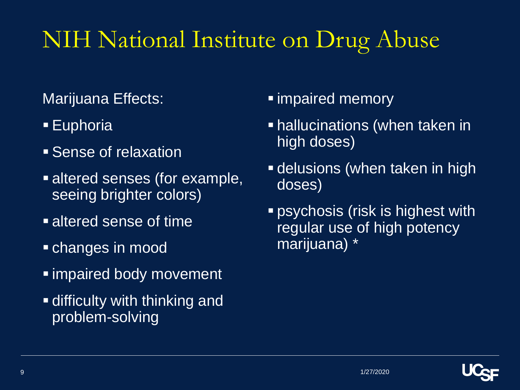Marijuana Effects:

- Euphoria
- **Example 3 Sense of relaxation**
- **Example,** altered senses (for example, seeing brighter colors)
- **Example 1** altered sense of time
- **E** changes in mood
- impaired body movement
- **E** difficulty with thinking and problem-solving
- impaired memory
- **E** hallucinations (when taken in high doses)
- **E** delusions (when taken in high doses)
- **Pasable 1 psychosis (risk is highest with** regular use of high potency marijuana) \*

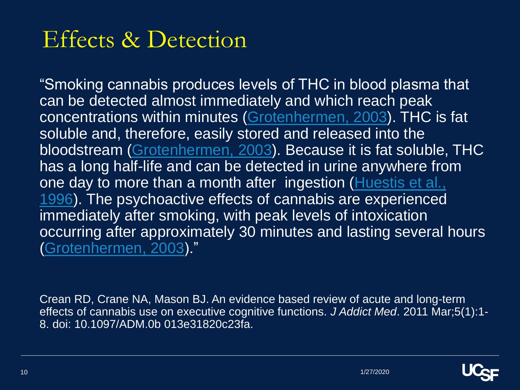#### Effects & Detection

"Smoking cannabis produces levels of THC in blood plasma that can be detected almost immediately and which reach peak concentrations within minutes ([Grotenhermen, 2003](https://www.ncbi.nlm.nih.gov/pmc/articles/PMC3037578/%23R21)). THC is fat soluble and, therefore, easily stored and released into the bloodstream ([Grotenhermen, 2003\)](https://www.ncbi.nlm.nih.gov/pmc/articles/PMC3037578/%23R21). Because it is fat soluble, THC has a long half-life and can be detected in urine anywhere from one day to more than a month after ingestion (Huestis et al., [1996\). The psychoactive effects of cannabis are experienced](https://www.ncbi.nlm.nih.gov/pmc/articles/PMC3037578/%23R27) immediately after smoking, with peak levels of intoxication occurring after approximately 30 minutes and lasting several hours ([Grotenhermen, 2003](https://www.ncbi.nlm.nih.gov/pmc/articles/PMC3037578/%23R21))."

Crean RD, Crane NA, Mason BJ. An evidence based review of acute and long-term effects of cannabis use on executive cognitive functions. *J Addict Med*. 2011 Mar;5(1):1- 8. doi: 10.1097/ADM.0b 013e31820c23fa.

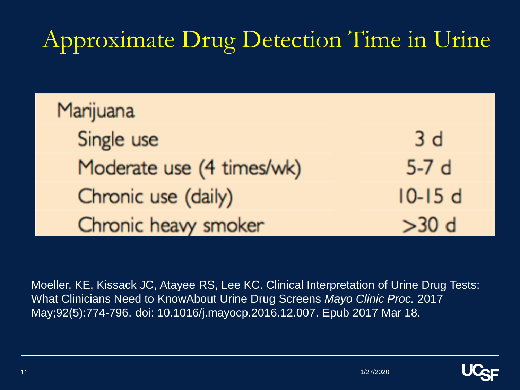## Approximate Drug Detection Time in Urine

| Marijuana                 |          |
|---------------------------|----------|
| Single use                | 3d       |
| Moderate use (4 times/wk) | $5-7d$   |
| Chronic use (daily)       | $10-15d$ |
| Chronic heavy smoker      | $>30$ d  |

Moeller, KE, Kissack JC, Atayee RS, Lee KC. Clinical Interpretation of Urine Drug Tests: What Clinicians Need to KnowAbout Urine Drug Screens *Mayo Clinic Proc.* 2017 May;92(5):774-796. doi: 10.1016/j.mayocp.2016.12.007. Epub 2017 Mar 18.

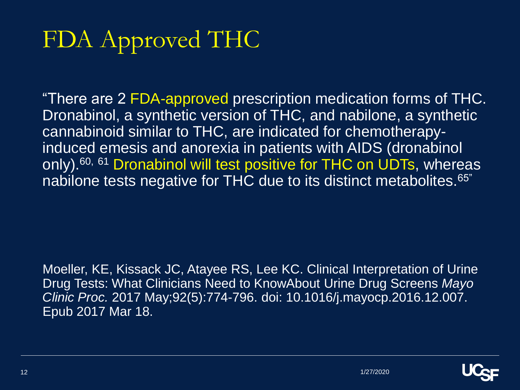## FDA Approved THC

"There are 2 FDA-approved prescription medication forms of THC. Dronabinol, a synthetic version of THC, and nabilone, a synthetic cannabinoid similar to THC, are indicated for chemotherapyinduced emesis and anorexia in patients with AIDS (dronabinol only).<sup>60, 61</sup> Dronabinol will test positive for THC on UDTs, whereas nabilone tests negative for THC due to its distinct metabolites.<sup>65"</sup>

Moeller, KE, Kissack JC, Atayee RS, Lee KC. Clinical Interpretation of Urine Drug Tests: What Clinicians Need to KnowAbout Urine Drug Screens *Mayo Clinic Proc.* 2017 May;92(5):774-796. doi: 10.1016/j.mayocp.2016.12.007. Epub 2017 Mar 18.

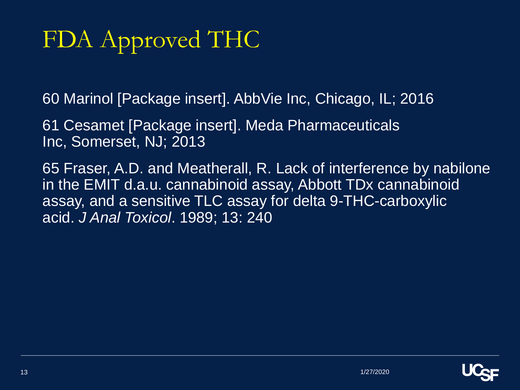## FDA Approved THC

60 Marinol [Package insert]. AbbVie Inc, Chicago, IL; 2016

61 Cesamet [Package insert]. Meda Pharmaceuticals Inc, Somerset, NJ; 2013

65 Fraser, A.D. and Meatherall, R. Lack of interference by nabilone in the EMIT d.a.u. cannabinoid assay, Abbott TDx cannabinoid assay, and a sensitive TLC assay for delta 9-THC-carboxylic acid. *J Anal Toxicol*. 1989; 13: 240

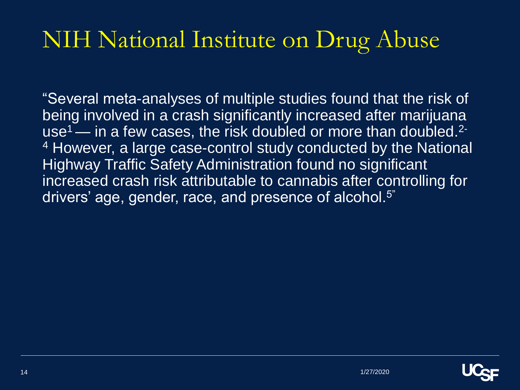"Several meta-analyses of multiple studies found that the risk of being involved in a crash significantly increased after marijuana use<sup>1</sup> — in a few cases, the risk doubled or more than doubled.<sup>2-</sup> <sup>4</sup> However, a large case-control study conducted by the National Highway Traffic Safety Administration found no significant increased crash risk attributable to cannabis after controlling for drivers' age, gender, race, and presence of alcohol.<sup>5"</sup>

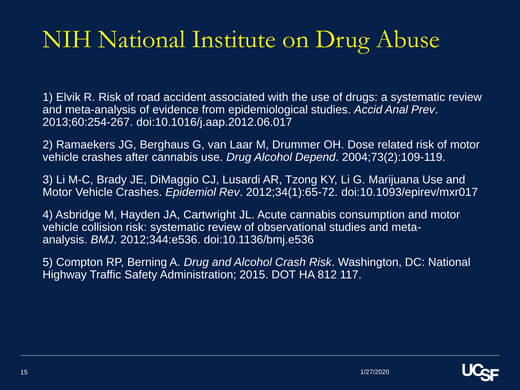1) Elvik R. Risk of road accident associated with the use of drugs: a systematic review and meta-analysis of evidence from epidemiological studies. *Accid Anal Prev*. 2013;60:254-267. doi:10.1016/j.aap.2012.06.017

2) Ramaekers JG, Berghaus G, van Laar M, Drummer OH. Dose related risk of motor vehicle crashes after cannabis use. *Drug Alcohol Depend*. 2004;73(2):109-119.

3) Li M-C, Brady JE, DiMaggio CJ, Lusardi AR, Tzong KY, Li G. Marijuana Use and Motor Vehicle Crashes. *Epidemiol Rev*. 2012;34(1):65-72. doi:10.1093/epirev/mxr017

4) Asbridge M, Hayden JA, Cartwright JL. Acute cannabis consumption and motor vehicle collision risk: systematic review of observational studies and metaanalysis. *BMJ*. 2012;344:e536. doi:10.1136/bmj.e536

5) Compton RP, Berning A. *Drug and Alcohol Crash Risk*. Washington, DC: National Highway Traffic Safety Administration; 2015. DOT HA 812 117.

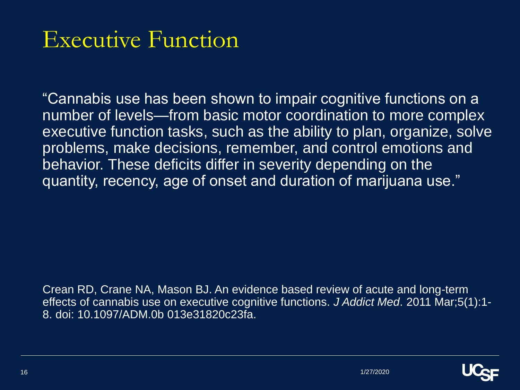#### Executive Function

"Cannabis use has been shown to impair cognitive functions on a number of levels—from basic motor coordination to more complex executive function tasks, such as the ability to plan, organize, solve problems, make decisions, remember, and control emotions and behavior. These deficits differ in severity depending on the quantity, recency, age of onset and duration of marijuana use."

Crean RD, Crane NA, Mason BJ. An evidence based review of acute and long-term effects of cannabis use on executive cognitive functions. *J Addict Med*. 2011 Mar;5(1):1- 8. doi: 10.1097/ADM.0b 013e31820c23fa.

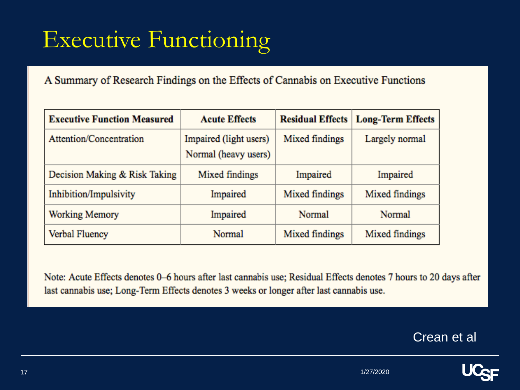### Executive Functioning

A Summary of Research Findings on the Effects of Cannabis on Executive Functions

| <b>Executive Function Measured</b> | <b>Acute Effects</b>                           |                | <b>Residual Effects   Long-Term Effects</b> |
|------------------------------------|------------------------------------------------|----------------|---------------------------------------------|
| Attention/Concentration            | Impaired (light users)<br>Normal (heavy users) | Mixed findings | Largely normal                              |
| Decision Making & Risk Taking      | Mixed findings                                 | Impaired       | Impaired                                    |
| Inhibition/Impulsivity             | Impaired                                       | Mixed findings | Mixed findings                              |
| Working Memory                     | Impaired                                       | Normal         | Normal                                      |
| Verbal Fluency                     | Normal                                         | Mixed findings | Mixed findings                              |

Note: Acute Effects denotes 0–6 hours after last cannabis use; Residual Effects denotes 7 hours to 20 days after last cannabis use; Long-Term Effects denotes 3 weeks or longer after last cannabis use.

Crean et al

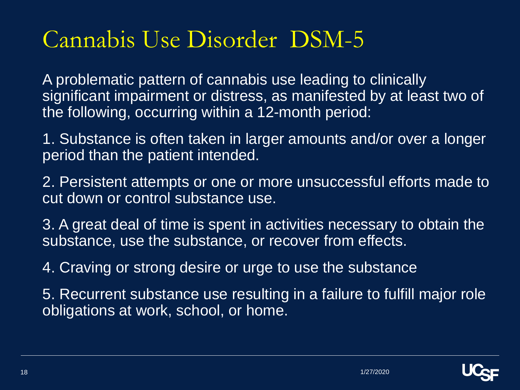#### Cannabis Use Disorder DSM-5

A problematic pattern of cannabis use leading to clinically significant impairment or distress, as manifested by at least two of the following, occurring within a 12-month period:

1. Substance is often taken in larger amounts and/or over a longer period than the patient intended.

2. Persistent attempts or one or more unsuccessful efforts made to cut down or control substance use.

3. A great deal of time is spent in activities necessary to obtain the substance, use the substance, or recover from effects.

4. Craving or strong desire or urge to use the substance

5. Recurrent substance use resulting in a failure to fulfill major role obligations at work, school, or home.

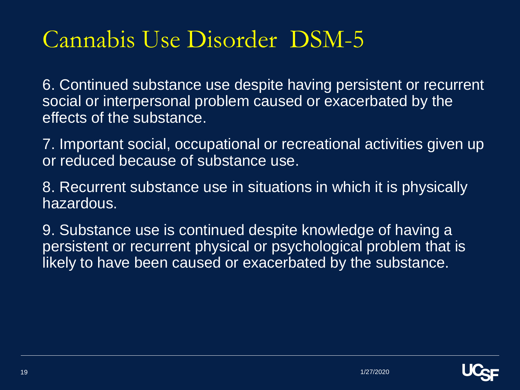#### Cannabis Use Disorder DSM-5

6. Continued substance use despite having persistent or recurrent social or interpersonal problem caused or exacerbated by the effects of the substance.

7. Important social, occupational or recreational activities given up or reduced because of substance use.

8. Recurrent substance use in situations in which it is physically hazardous.

9. Substance use is continued despite knowledge of having a persistent or recurrent physical or psychological problem that is likely to have been caused or exacerbated by the substance.

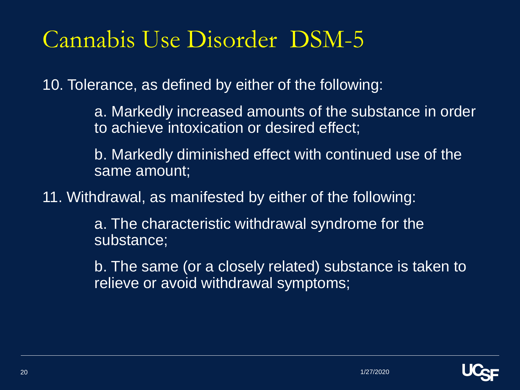#### Cannabis Use Disorder DSM-5

10. Tolerance, as defined by either of the following:

a. Markedly increased amounts of the substance in order to achieve intoxication or desired effect;

b. Markedly diminished effect with continued use of the same amount;

11. Withdrawal, as manifested by either of the following:

a. The characteristic withdrawal syndrome for the substance;

b. The same (or a closely related) substance is taken to relieve or avoid withdrawal symptoms;

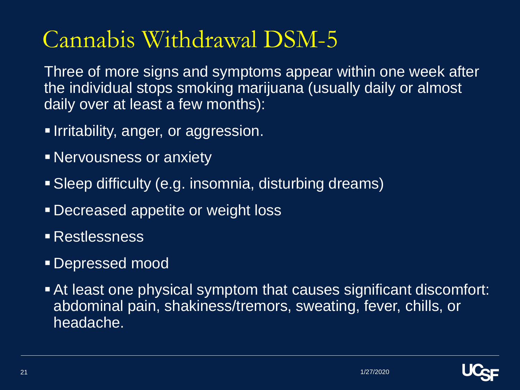### Cannabis Withdrawal DSM-5

Three of more signs and symptoms appear within one week after the individual stops smoking marijuana (usually daily or almost daily over at least a few months):

- **E** Irritability, anger, or aggression.
- **Exercises or anxiety**
- **E** Sleep difficulty (e.g. insomnia, disturbing dreams)
- **Example 2 Decreased appetite or weight loss**
- Restlessness
- **Depressed mood**
- At least one physical symptom that causes significant discomfort: abdominal pain, shakiness/tremors, sweating, fever, chills, or headache.

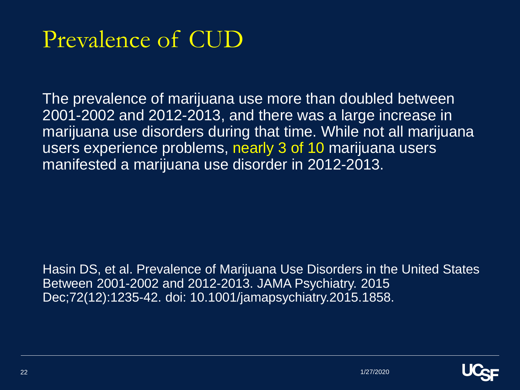#### Prevalence of CUD

The prevalence of marijuana use more than doubled between 2001-2002 and 2012-2013, and there was a large increase in marijuana use disorders during that time. While not all marijuana users experience problems, nearly 3 of 10 marijuana users manifested a marijuana use disorder in 2012-2013.

Hasin DS, et al. Prevalence of Marijuana Use Disorders in the United States Between 2001-2002 and 2012-2013. JAMA Psychiatry. 2015 Dec;72(12):1235-42. doi: 10.1001/jamapsychiatry.2015.1858.

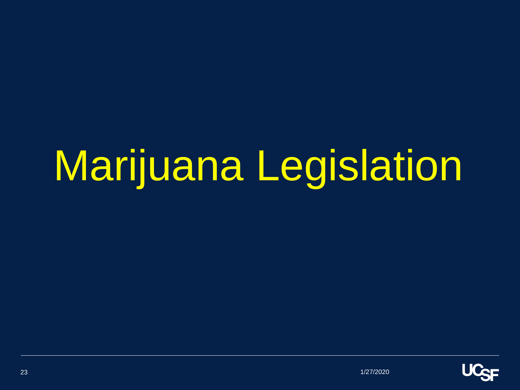# Marijuana Legislation

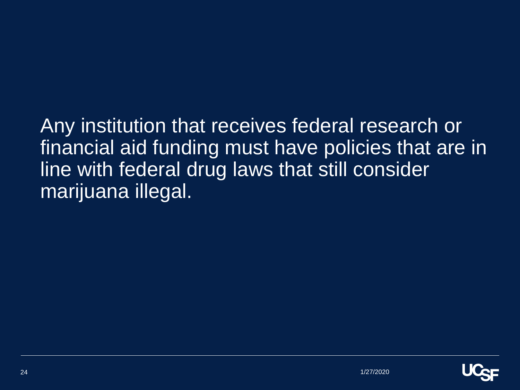Any institution that receives federal research or financial aid funding must have policies that are in line with federal drug laws that still consider marijuana illegal.

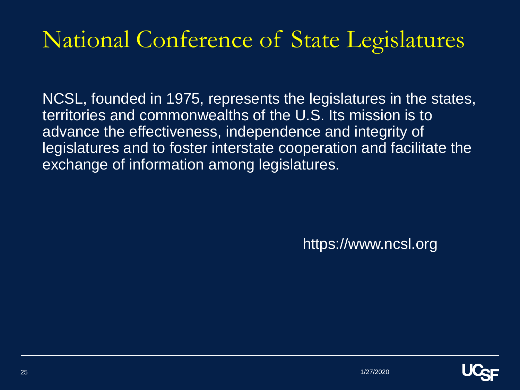#### National Conference of State Legislatures

NCSL, founded in 1975, represents the legislatures in the states, territories and commonwealths of the U.S. Its mission is to advance the effectiveness, independence and integrity of legislatures and to foster interstate cooperation and facilitate the exchange of information among legislatures.

https://www.ncsl.org

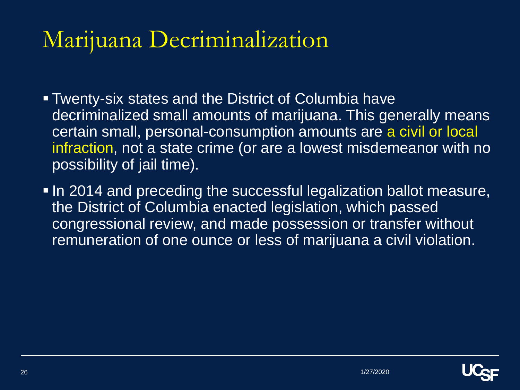#### Marijuana Decriminalization

- Twenty-six states and the District of Columbia have decriminalized small amounts of marijuana. This generally means certain small, personal-consumption amounts are a civil or local infraction, not a state crime (or are a lowest misdemeanor with no possibility of jail time).
- **In 2014 and preceding the successful legalization ballot measure,** the District of Columbia enacted legislation, which passed congressional review, and made possession or transfer without remuneration of one ounce or less of marijuana a civil violation.

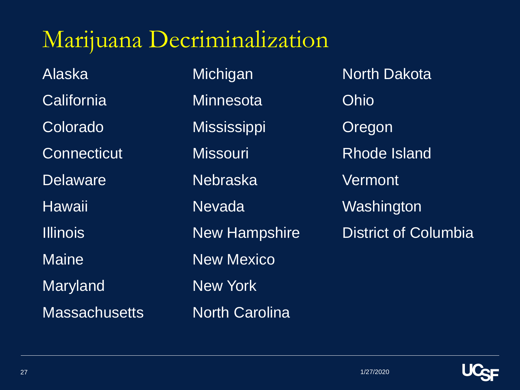#### Marijuana Decriminalization

Alaska California **Colorado Connecticut Delaware** Hawaii Illinois **Maine** Maryland **Massachusetts**  **Michigan Minnesota Mississippi Missouri** Nebraska Nevada New Hampshire New Mexico New York North Carolina

North Dakota Ohio Oregon Rhode Island **Vermont** Washington District of Columbia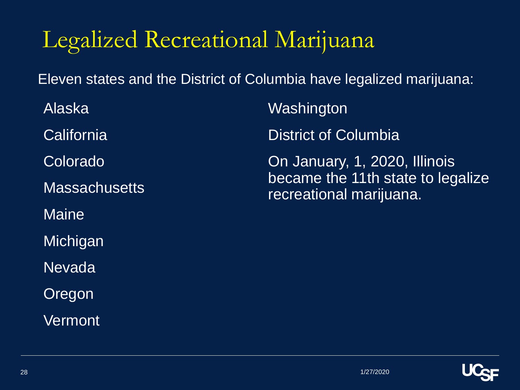#### Legalized Recreational Marijuana

Eleven states and the District of Columbia have legalized marijuana:

Alaska **California** Colorado **Massachusetts Maine Michigan** Nevada Oregon **Vermont** 

Washington

District of Columbia

On January, 1, 2020, Illinois became the 11th state to legalize recreational marijuana.

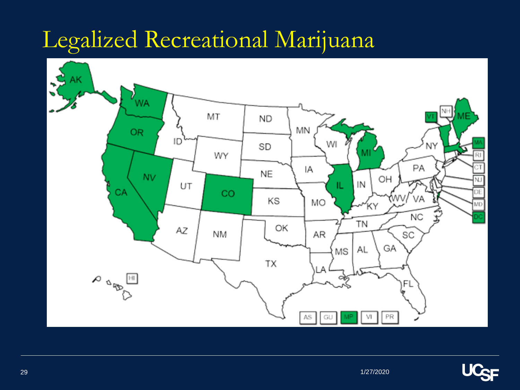#### Legalized Recreational Marijuana



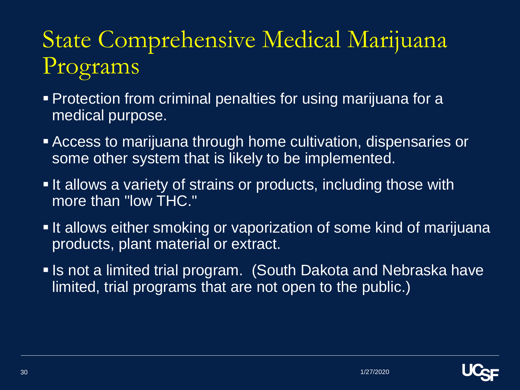### State Comprehensive Medical Marijuana Programs

- **Protection from criminal penalties for using marijuana for a** medical purpose.
- **Example 2 Access to marijuana through home cultivation, dispensaries or** some other system that is likely to be implemented.
- **If allows a variety of strains or products, including those with** more than "low THC."
- **If allows either smoking or vaporization of some kind of marijuana** products, plant material or extract.
- **. Is not a limited trial program. (South Dakota and Nebraska have** limited, trial programs that are not open to the public.)

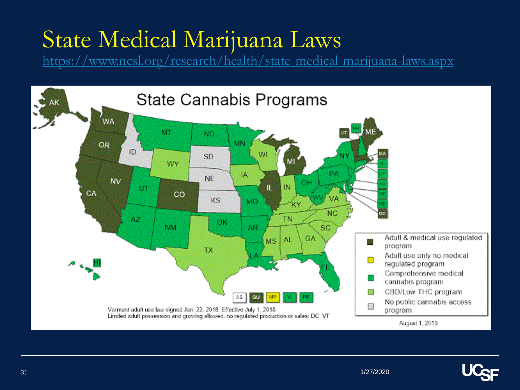#### State Medical Marijuana Laws

<https://www.ncsl.org/research/health/state-medical-marijuana-laws.aspx>



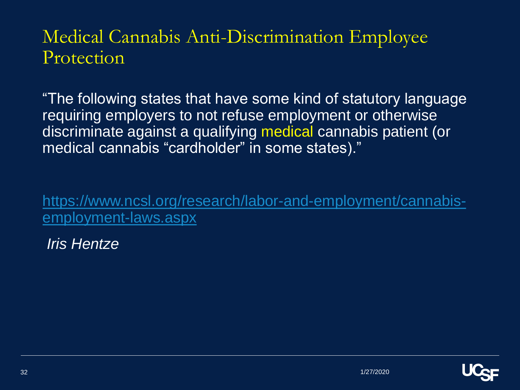#### Medical Cannabis Anti-Discrimination Employee Protection

"The following states that have some kind of statutory language requiring employers to not refuse employment or otherwise discriminate against a qualifying medical cannabis patient (or medical cannabis "cardholder" in some states)."

[https://www.ncsl.org/research/labor-and-employment/cannabis](https://www.ncsl.org/research/labor-and-employment/cannabis-employment-laws.aspx)employment-laws.aspx

*Iris Hentze* 

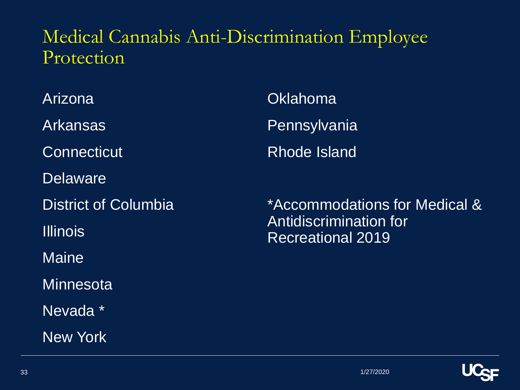#### Medical Cannabis Anti-Discrimination Employee Protection

Arizona

Arkansas

**Connecticut** 

**Delaware** 

District of Columbia

Illinois

**Maine** 

**Minnesota** 

Nevada \*

New York

**Oklahoma Pennsylvania** Rhode Island

\*Accommodations for Medical & Antidiscrimination for Recreational 2019

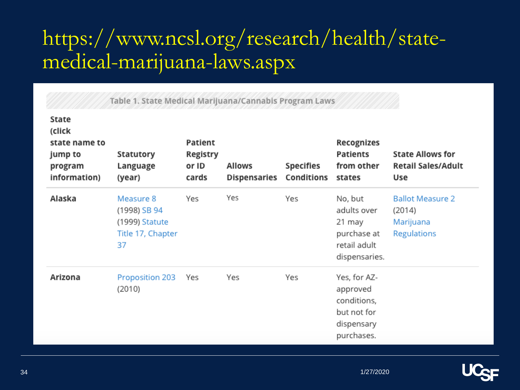#### https://www.ncsl.org/research/health/statemedical-marijuana-laws.aspx

| State<br>(click<br>state name to<br>jump to<br>program<br>information) | Statutory<br>Language<br>(year)                                        | Patient<br>Registry<br>or ID<br>cards | <b>Allows</b><br><b>Dispensaries</b> | Specifies<br>Conditions | Recognizes<br><b>Patients</b><br>from other<br>states                              | <b>State Allows for</b><br><b>Retail Sales/Adult</b><br>Use   |
|------------------------------------------------------------------------|------------------------------------------------------------------------|---------------------------------------|--------------------------------------|-------------------------|------------------------------------------------------------------------------------|---------------------------------------------------------------|
| Alaska                                                                 | Measure 8<br>(1998) SB 94<br>(1999) Statute<br>Title 17, Chapter<br>37 | Yes                                   | Yes                                  | Yes                     | No, but<br>adults over<br>21 may<br>purchase at<br>retail adult<br>dispensaries.   | <b>Ballot Measure 2</b><br>(2014)<br>Marijuana<br>Regulations |
| Arizona                                                                | Proposition 203<br>(2010)                                              | Yes                                   | Yes                                  | Yes                     | Yes, for AZ-<br>approved<br>conditions,<br>but not for<br>dispensary<br>purchases. |                                                               |

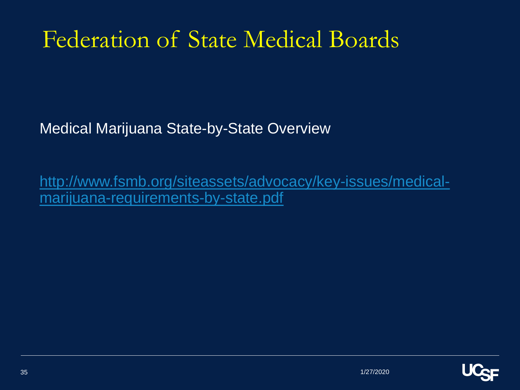#### Federation of State Medical Boards

Medical Marijuana State-by-State Overview

[http://www.fsmb.org/siteassets/advocacy/key-issues/medical](http://www.fsmb.org/siteassets/advocacy/key-issues/medical-marijuana-requirements-by-state.pdf)marijuana-requirements-by-state.pdf

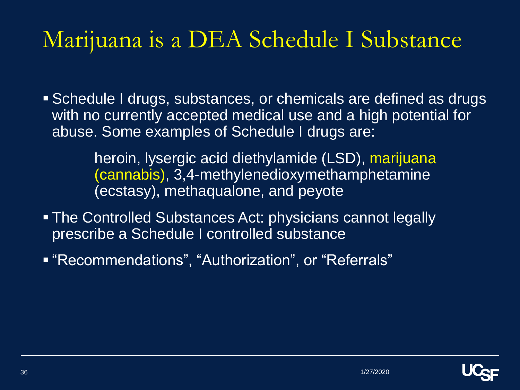#### Marijuana is a DEA Schedule I Substance

**E** Schedule I drugs, substances, or chemicals are defined as drugs with no currently accepted medical use and a high potential for abuse. Some examples of Schedule I drugs are:

> heroin, lysergic acid diethylamide (LSD), marijuana (cannabis), 3,4-methylenedioxymethamphetamine (ecstasy), methaqualone, and peyote

- **The Controlled Substances Act: physicians cannot legally** prescribe a Schedule I controlled substance
- "Recommendations", "Authorization", or "Referrals"

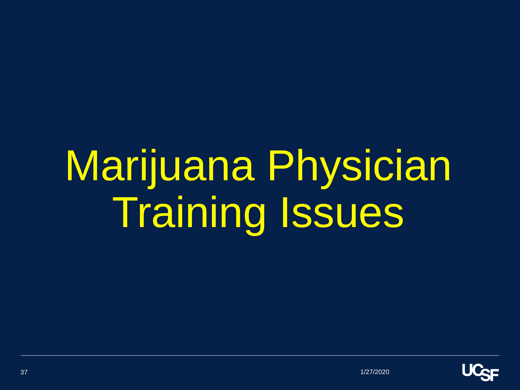# Marijuana Physician Training Issues

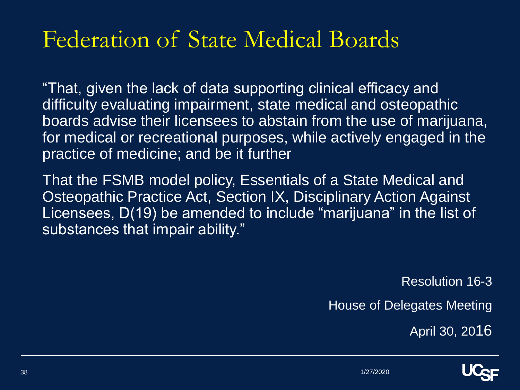#### Federation of State Medical Boards

"That, given the lack of data supporting clinical efficacy and difficulty evaluating impairment, state medical and osteopathic boards advise their licensees to abstain from the use of marijuana, for medical or recreational purposes, while actively engaged in the practice of medicine; and be it further

That the FSMB model policy, Essentials of a State Medical and Osteopathic Practice Act, Section IX, Disciplinary Action Against Licensees, D(19) be amended to include "marijuana" in the list of substances that impair ability."

Resolution 16-3

House of Delegates Meeting

April 30, 2016

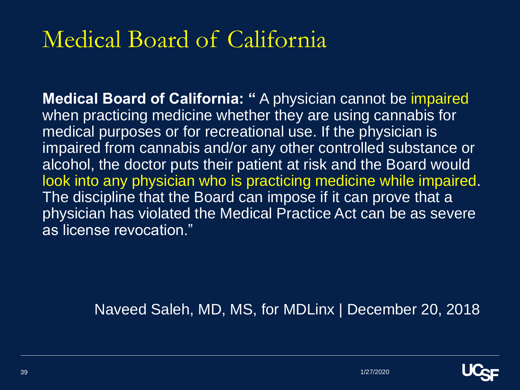#### Medical Board of California

**Medical Board of California: "** A physician cannot be impaired when practicing medicine whether they are using cannabis for medical purposes or for recreational use. If the physician is impaired from cannabis and/or any other controlled substance or alcohol, the doctor puts their patient at risk and the Board would look into any physician who is practicing medicine while impaired. The discipline that the Board can impose if it can prove that a physician has violated the Medical Practice Act can be as severe as license revocation."

Naveed Saleh, MD, MS, for MDLinx | December 20, 2018

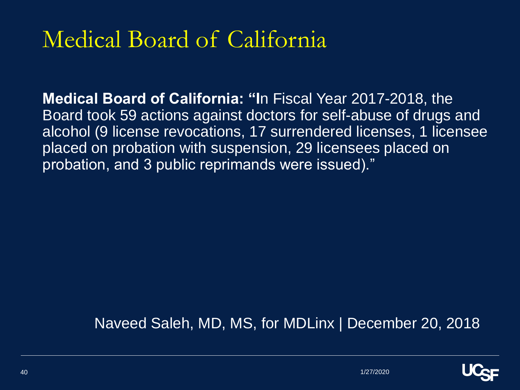#### Medical Board of California

**Medical Board of California: "I**n Fiscal Year 2017-2018, the Board took 59 actions against doctors for self-abuse of drugs and alcohol (9 license revocations, 17 surrendered licenses, 1 licensee placed on probation with suspension, 29 licensees placed on probation, and 3 public reprimands were issued)."

Naveed Saleh, MD, MS, for MDLinx | December 20, 2018

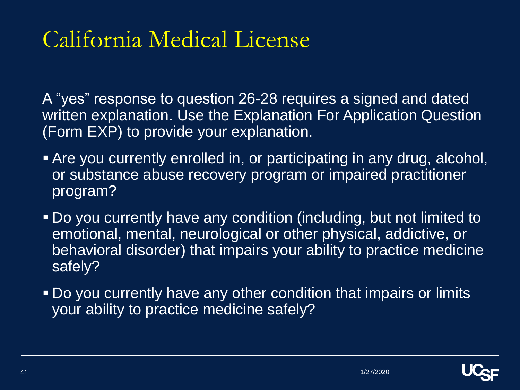#### California Medical License

A "yes" response to question 26-28 requires a signed and dated written explanation. Use the Explanation For Application Question (Form EXP) to provide your explanation.

- **Example 2 Are you currently enrolled in, or participating in any drug, alcohol,** or substance abuse recovery program or impaired practitioner program?
- Do you currently have any condition (including, but not limited to emotional, mental, neurological or other physical, addictive, or behavioral disorder) that impairs your ability to practice medicine safely?
- Do you currently have any other condition that impairs or limits your ability to practice medicine safely?

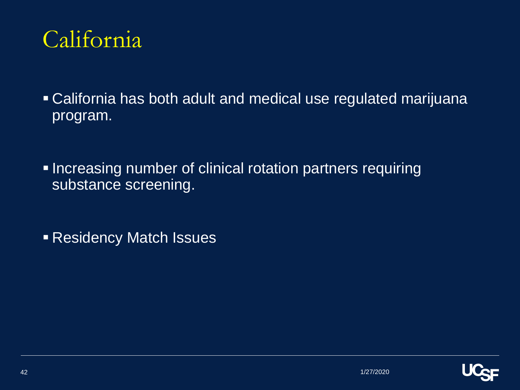

■ California has both adult and medical use regulated marijuana program.

**. Increasing number of clinical rotation partners requiring** substance screening.

**Residency Match Issues** 

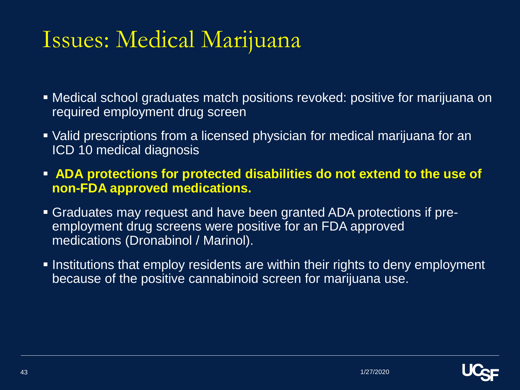#### Issues: Medical Marijuana

- Medical school graduates match positions revoked: positive for marijuana on required employment drug screen
- Valid prescriptions from a licensed physician for medical marijuana for an ICD 10 medical diagnosis
- **EXTED ADA protections for protected disabilities do not extend to the use of non-FDA approved medications.**
- Graduates may request and have been granted ADA protections if preemployment drug screens were positive for an FDA approved medications (Dronabinol / Marinol).
- **.** Institutions that employ residents are within their rights to deny employment because of the positive cannabinoid screen for marijuana use.

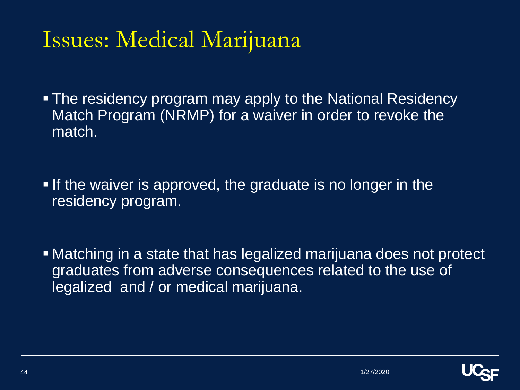#### Issues: Medical Marijuana

- **The residency program may apply to the National Residency** Match Program (NRMP) for a waiver in order to revoke the match.
- **If the waiver is approved, the graduate is no longer in the** residency program.
- **Matching in a state that has legalized marijuana does not protect** graduates from adverse consequences related to the use of legalized and / or medical marijuana.

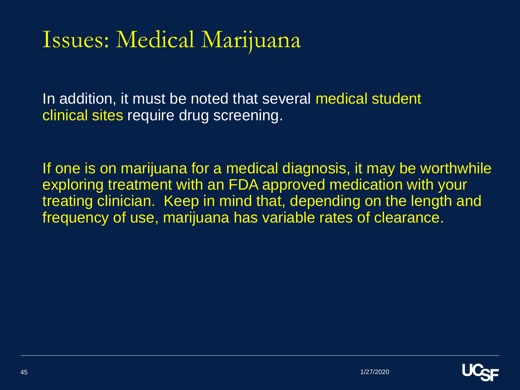#### Issues: Medical Marijuana

In addition, it must be noted that several medical student clinical sites require drug screening.

If one is on marijuana for a medical diagnosis, it may be worthwhile exploring treatment with an FDA approved medication with your treating clinician. Keep in mind that, depending on the length and frequency of use, marijuana has variable rates of clearance.

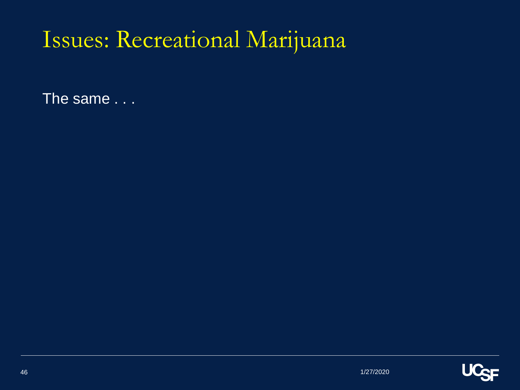## Issues: Recreational Marijuana

The same . . .

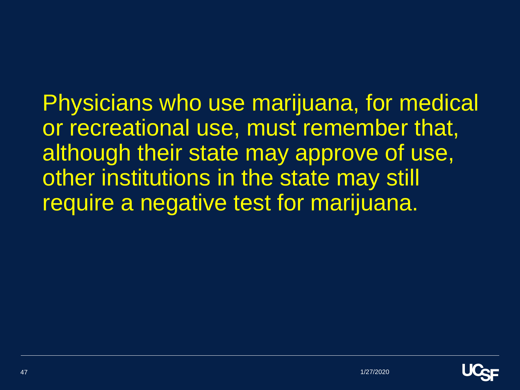Physicians who use marijuana, for medical or recreational use, must remember that, although their state may approve of use, other institutions in the state may still require a negative test for marijuana.

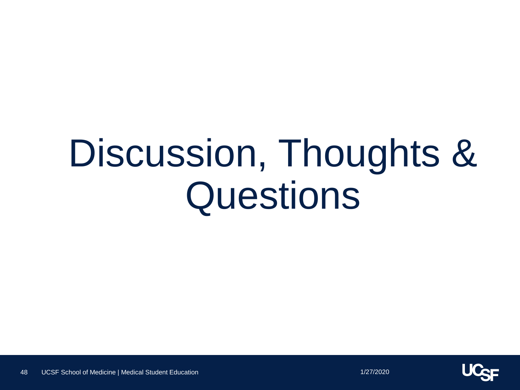# Discussion, Thoughts & **Questions**